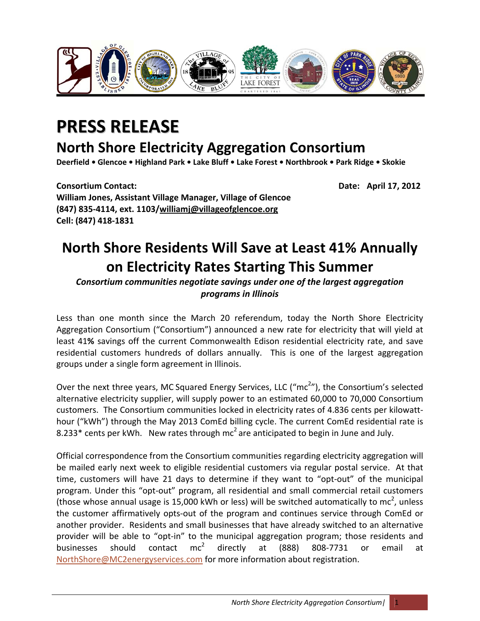

## **PRESS RELEASE**

## **North Shore Electricity Aggregation Consortium**

Deerfield . Glencoe . Highland Park . Lake Bluff . Lake Forest . Northbrook . Park Ridge . Skokie

**Consortium Contact: Date: April 17, 2012 William Jones, Assistant Village Manager, Village of Glencoe (847) 835‐4114, ext. 1103/williamj@villageofglencoe.org Cell: (847) 418‐1831**

## **North Shore Residents Will Save at Least 41% Annually on Electricity Rates Starting This Summer**

*Consortium communities negotiate savings under one of the largest aggregation programs in Illinois*

Less than one month since the March 20 referendum, today the North Shore Electricity Aggregation Consortium ("Consortium") announced a new rate for electricity that will yield at least 41**%** savings off the current Commonwealth Edison residential electricity rate, and save residential customers hundreds of dollars annually. This is one of the largest aggregation groups under a single form agreement in Illinois.

Over the next three years, MC Squared Energy Services, LLC ("mc<sup>2</sup>"), the Consortium's selected alternative electricity supplier, will supply power to an estimated 60,000 to 70,000 Consortium customers. The Consortium communities locked in electricity rates of 4.836 cents per kilowatt‐ hour ("kWh") through the May 2013 ComEd billing cycle. The current ComEd residential rate is 8.233\* cents per kWh. New rates through  $mc^2$  are anticipated to begin in June and July.

Official correspondence from the Consortium communities regarding electricity aggregation will be mailed early next week to eligible residential customers via regular postal service. At that time, customers will have 21 days to determine if they want to "opt-out" of the municipal program. Under this "opt-out" program, all residential and small commercial retail customers (those whose annual usage is 15,000 kWh or less) will be switched automatically to mc<sup>2</sup>, unless the customer affirmatively opts‐out of the program and continues service through ComEd or another provider. Residents and small businesses that have already switched to an alternative provider will be able to "opt-in" to the municipal aggregation program; those residents and businesses should contact mc<sup>2</sup> directly at (888) 808-7731 or email at NorthShore@MC2energyservices.com for more information about registration.